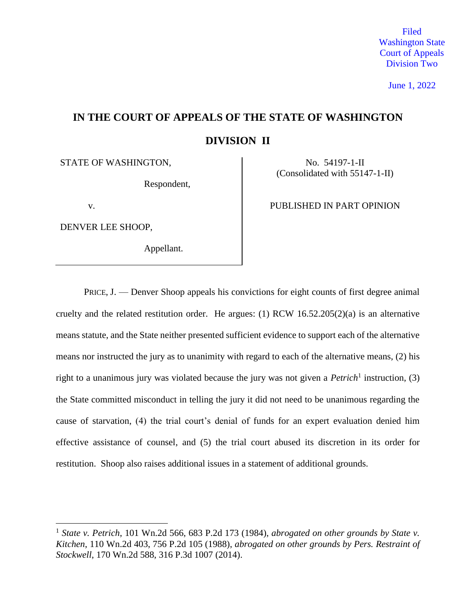Filed Washington State Court of Appeals Division Two

June 1, 2022

# **IN THE COURT OF APPEALS OF THE STATE OF WASHINGTON DIVISION II**

STATE OF WASHINGTON, No. 54197-1-II

Respondent,

 $\overline{a}$ 

DENVER LEE SHOOP,

Appellant.

(Consolidated with 55147-1-II)

v.

PRICE, J. — Denver Shoop appeals his convictions for eight counts of first degree animal cruelty and the related restitution order. He argues: (1) RCW 16.52.205(2)(a) is an alternative means statute, and the State neither presented sufficient evidence to support each of the alternative means nor instructed the jury as to unanimity with regard to each of the alternative means, (2) his right to a unanimous jury was violated because the jury was not given a *Petrich*<sup>1</sup> instruction, (3) the State committed misconduct in telling the jury it did not need to be unanimous regarding the cause of starvation, (4) the trial court's denial of funds for an expert evaluation denied him effective assistance of counsel, and (5) the trial court abused its discretion in its order for restitution. Shoop also raises additional issues in a statement of additional grounds.

<sup>1</sup> *State v. Petrich*, 101 Wn.2d 566, 683 P.2d 173 (1984), *abrogated on other grounds by State v. Kitchen*, 110 Wn.2d 403, 756 P.2d 105 (1988), *abrogated on other grounds by Pers. Restraint of Stockwell*, 170 Wn.2d 588, 316 P.3d 1007 (2014).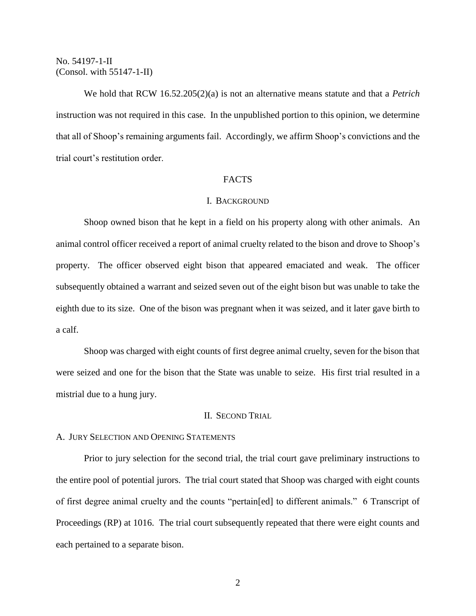We hold that RCW 16.52.205(2)(a) is not an alternative means statute and that a *Petrich* instruction was not required in this case. In the unpublished portion to this opinion, we determine that all of Shoop's remaining arguments fail. Accordingly, we affirm Shoop's convictions and the trial court's restitution order.

# FACTS

# I. BACKGROUND

Shoop owned bison that he kept in a field on his property along with other animals. An animal control officer received a report of animal cruelty related to the bison and drove to Shoop's property. The officer observed eight bison that appeared emaciated and weak. The officer subsequently obtained a warrant and seized seven out of the eight bison but was unable to take the eighth due to its size. One of the bison was pregnant when it was seized, and it later gave birth to a calf.

Shoop was charged with eight counts of first degree animal cruelty, seven for the bison that were seized and one for the bison that the State was unable to seize. His first trial resulted in a mistrial due to a hung jury.

## II. SECOND TRIAL

#### A. JURY SELECTION AND OPENING STATEMENTS

Prior to jury selection for the second trial, the trial court gave preliminary instructions to the entire pool of potential jurors. The trial court stated that Shoop was charged with eight counts of first degree animal cruelty and the counts "pertain[ed] to different animals." 6 Transcript of Proceedings (RP) at 1016. The trial court subsequently repeated that there were eight counts and each pertained to a separate bison.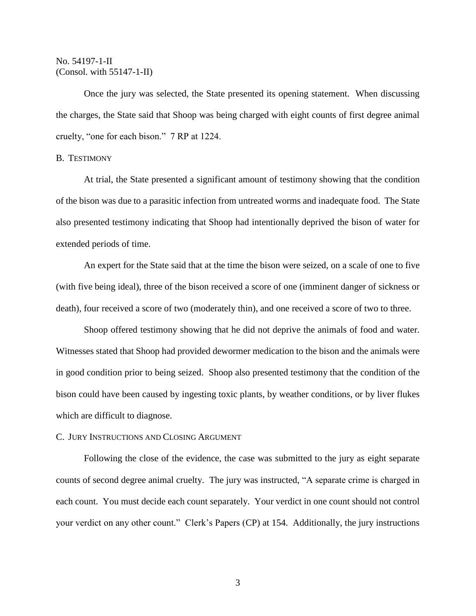Once the jury was selected, the State presented its opening statement. When discussing the charges, the State said that Shoop was being charged with eight counts of first degree animal cruelty, "one for each bison." 7 RP at 1224.

## B. TESTIMONY

At trial, the State presented a significant amount of testimony showing that the condition of the bison was due to a parasitic infection from untreated worms and inadequate food. The State also presented testimony indicating that Shoop had intentionally deprived the bison of water for extended periods of time.

An expert for the State said that at the time the bison were seized, on a scale of one to five (with five being ideal), three of the bison received a score of one (imminent danger of sickness or death), four received a score of two (moderately thin), and one received a score of two to three.

Shoop offered testimony showing that he did not deprive the animals of food and water. Witnesses stated that Shoop had provided dewormer medication to the bison and the animals were in good condition prior to being seized. Shoop also presented testimony that the condition of the bison could have been caused by ingesting toxic plants, by weather conditions, or by liver flukes which are difficult to diagnose.

## C. JURY INSTRUCTIONS AND CLOSING ARGUMENT

Following the close of the evidence, the case was submitted to the jury as eight separate counts of second degree animal cruelty. The jury was instructed, "A separate crime is charged in each count. You must decide each count separately. Your verdict in one count should not control your verdict on any other count." Clerk's Papers (CP) at 154. Additionally, the jury instructions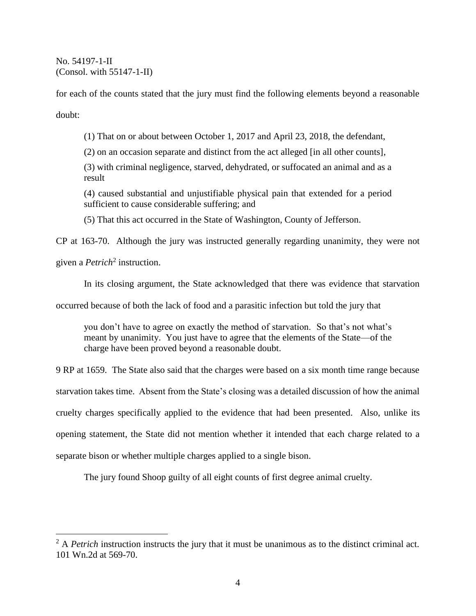for each of the counts stated that the jury must find the following elements beyond a reasonable doubt:

(1) That on or about between October 1, 2017 and April 23, 2018, the defendant,

(2) on an occasion separate and distinct from the act alleged [in all other counts],

(3) with criminal negligence, starved, dehydrated, or suffocated an animal and as a result

(4) caused substantial and unjustifiable physical pain that extended for a period sufficient to cause considerable suffering; and

(5) That this act occurred in the State of Washington, County of Jefferson.

CP at 163-70. Although the jury was instructed generally regarding unanimity, they were not

given a *Petrich*<sup>2</sup> instruction.

 $\overline{a}$ 

In its closing argument, the State acknowledged that there was evidence that starvation

occurred because of both the lack of food and a parasitic infection but told the jury that

you don't have to agree on exactly the method of starvation. So that's not what's meant by unanimity. You just have to agree that the elements of the State—of the charge have been proved beyond a reasonable doubt.

9 RP at 1659. The State also said that the charges were based on a six month time range because starvation takes time. Absent from the State's closing was a detailed discussion of how the animal cruelty charges specifically applied to the evidence that had been presented. Also, unlike its opening statement, the State did not mention whether it intended that each charge related to a separate bison or whether multiple charges applied to a single bison.

The jury found Shoop guilty of all eight counts of first degree animal cruelty.

<sup>&</sup>lt;sup>2</sup> A *Petrich* instruction instructs the jury that it must be unanimous as to the distinct criminal act. 101 Wn.2d at 569-70.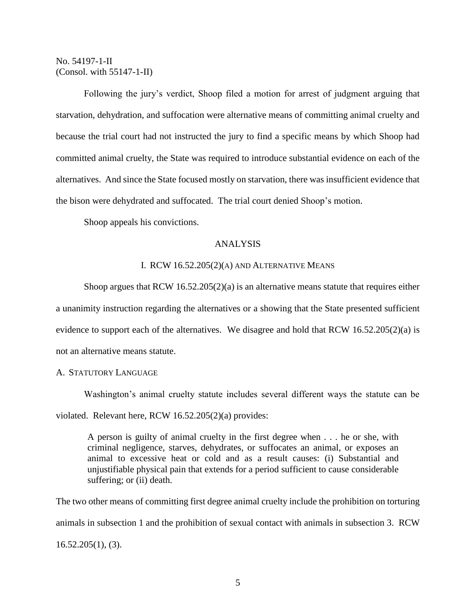Following the jury's verdict, Shoop filed a motion for arrest of judgment arguing that starvation, dehydration, and suffocation were alternative means of committing animal cruelty and because the trial court had not instructed the jury to find a specific means by which Shoop had committed animal cruelty, the State was required to introduce substantial evidence on each of the alternatives. And since the State focused mostly on starvation, there was insufficient evidence that the bison were dehydrated and suffocated. The trial court denied Shoop's motion.

Shoop appeals his convictions.

# ANALYSIS

## I. RCW 16.52.205(2)(A) AND ALTERNATIVE MEANS

Shoop argues that  $RCW$  16.52.205(2)(a) is an alternative means statute that requires either a unanimity instruction regarding the alternatives or a showing that the State presented sufficient evidence to support each of the alternatives. We disagree and hold that RCW 16.52.205(2)(a) is not an alternative means statute.

# A. STATUTORY LANGUAGE

Washington's animal cruelty statute includes several different ways the statute can be violated. Relevant here, RCW 16.52.205(2)(a) provides:

A person is guilty of animal cruelty in the first degree when . . . he or she, with criminal negligence, starves, dehydrates, or suffocates an animal, or exposes an animal to excessive heat or cold and as a result causes: (i) Substantial and unjustifiable physical pain that extends for a period sufficient to cause considerable suffering; or (ii) death.

The two other means of committing first degree animal cruelty include the prohibition on torturing animals in subsection 1 and the prohibition of sexual contact with animals in subsection 3. RCW  $16.52.205(1)$ , (3).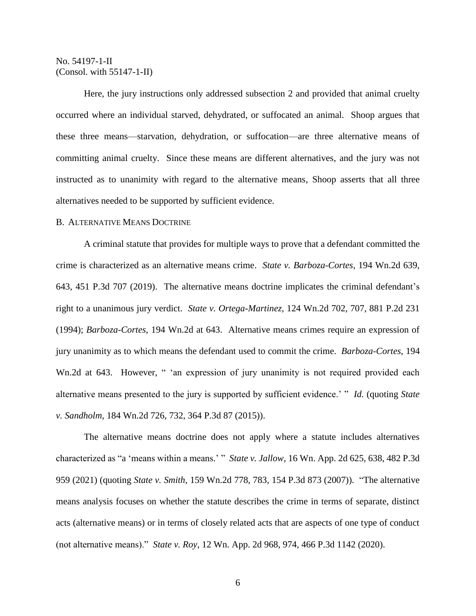Here, the jury instructions only addressed subsection 2 and provided that animal cruelty occurred where an individual starved, dehydrated, or suffocated an animal. Shoop argues that these three means—starvation, dehydration, or suffocation—are three alternative means of committing animal cruelty. Since these means are different alternatives, and the jury was not instructed as to unanimity with regard to the alternative means, Shoop asserts that all three alternatives needed to be supported by sufficient evidence.

## B. ALTERNATIVE MEANS DOCTRINE

A criminal statute that provides for multiple ways to prove that a defendant committed the crime is characterized as an alternative means crime. *State v. Barboza-Cortes*, 194 Wn.2d 639, 643, 451 P.3d 707 (2019). The alternative means doctrine implicates the criminal defendant's right to a unanimous jury verdict. *State v. Ortega-Martinez*, 124 Wn.2d 702, 707, 881 P.2d 231 (1994); *Barboza-Cortes*, 194 Wn.2d at 643. Alternative means crimes require an expression of jury unanimity as to which means the defendant used to commit the crime. *Barboza-Cortes*, 194 Wn.2d at 643. However, " 'an expression of jury unanimity is not required provided each alternative means presented to the jury is supported by sufficient evidence.' " *Id.* (quoting *State v. Sandholm*, 184 Wn.2d 726, 732, 364 P.3d 87 (2015)).

The alternative means doctrine does not apply where a statute includes alternatives characterized as "a 'means within a means.' " *State v. Jallow*, 16 Wn. App. 2d 625, 638, 482 P.3d 959 (2021) (quoting *State v. Smith*, 159 Wn.2d 778, 783, 154 P.3d 873 (2007)). "The alternative means analysis focuses on whether the statute describes the crime in terms of separate, distinct acts (alternative means) or in terms of closely related acts that are aspects of one type of conduct (not alternative means)." *State v. Roy*, 12 Wn. App. 2d 968, 974, 466 P.3d 1142 (2020).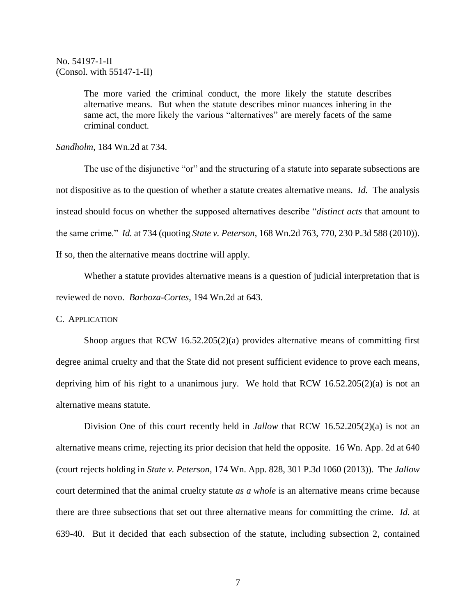The more varied the criminal conduct, the more likely the statute describes alternative means. But when the statute describes minor nuances inhering in the same act, the more likely the various "alternatives" are merely facets of the same criminal conduct.

#### *Sandholm*, 184 Wn.2d at 734.

The use of the disjunctive "or" and the structuring of a statute into separate subsections are not dispositive as to the question of whether a statute creates alternative means. *Id.* The analysis instead should focus on whether the supposed alternatives describe "*distinct acts* that amount to the same crime." *Id.* at 734 (quoting *State v. Peterson*, 168 Wn.2d 763, 770, 230 P.3d 588 (2010)). If so, then the alternative means doctrine will apply.

Whether a statute provides alternative means is a question of judicial interpretation that is reviewed de novo. *Barboza-Cortes*, 194 Wn.2d at 643.

## C. APPLICATION

Shoop argues that RCW 16.52.205(2)(a) provides alternative means of committing first degree animal cruelty and that the State did not present sufficient evidence to prove each means, depriving him of his right to a unanimous jury. We hold that RCW 16.52.205(2)(a) is not an alternative means statute.

Division One of this court recently held in *Jallow* that RCW 16.52.205(2)(a) is not an alternative means crime, rejecting its prior decision that held the opposite. 16 Wn. App. 2d at 640 (court rejects holding in *State v. Peterson*, 174 Wn. App. 828, 301 P.3d 1060 (2013)). The *Jallow* court determined that the animal cruelty statute *as a whole* is an alternative means crime because there are three subsections that set out three alternative means for committing the crime. *Id.* at 639-40. But it decided that each subsection of the statute, including subsection 2, contained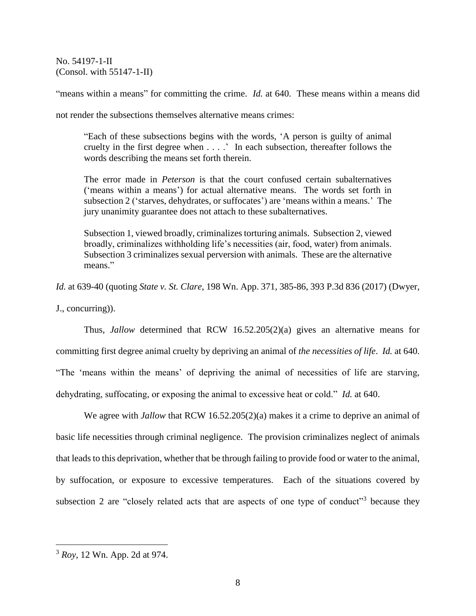"means within a means" for committing the crime. *Id.* at 640. These means within a means did

not render the subsections themselves alternative means crimes:

"Each of these subsections begins with the words, 'A person is guilty of animal cruelty in the first degree when . . . .' In each subsection, thereafter follows the words describing the means set forth therein.

The error made in *Peterson* is that the court confused certain subalternatives ('means within a means') for actual alternative means. The words set forth in subsection 2 ('starves, dehydrates, or suffocates') are 'means within a means.' The jury unanimity guarantee does not attach to these subalternatives.

Subsection 1, viewed broadly, criminalizes torturing animals. Subsection 2, viewed broadly, criminalizes withholding life's necessities (air, food, water) from animals. Subsection 3 criminalizes sexual perversion with animals. These are the alternative means."

*Id.* at 639-40 (quoting *State v. St. Clare*, 198 Wn. App. 371, 385-86, 393 P.3d 836 (2017) (Dwyer,

J., concurring)).

Thus, *Jallow* determined that RCW 16.52.205(2)(a) gives an alternative means for committing first degree animal cruelty by depriving an animal of *the necessities of life*. *Id.* at 640. "The 'means within the means' of depriving the animal of necessities of life are starving, dehydrating, suffocating, or exposing the animal to excessive heat or cold." *Id.* at 640.

We agree with *Jallow* that RCW 16.52.205(2)(a) makes it a crime to deprive an animal of basic life necessities through criminal negligence. The provision criminalizes neglect of animals that leads to this deprivation, whether that be through failing to provide food or water to the animal, by suffocation, or exposure to excessive temperatures. Each of the situations covered by subsection 2 are "closely related acts that are aspects of one type of conduct"<sup>3</sup> because they

 $\overline{a}$ 

<sup>3</sup> *Roy*, 12 Wn. App. 2d at 974.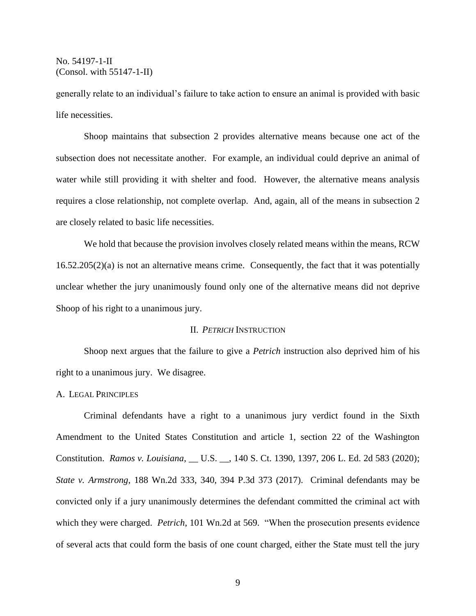generally relate to an individual's failure to take action to ensure an animal is provided with basic life necessities.

Shoop maintains that subsection 2 provides alternative means because one act of the subsection does not necessitate another. For example, an individual could deprive an animal of water while still providing it with shelter and food. However, the alternative means analysis requires a close relationship, not complete overlap. And, again, all of the means in subsection 2 are closely related to basic life necessities.

We hold that because the provision involves closely related means within the means, RCW 16.52.205(2)(a) is not an alternative means crime. Consequently, the fact that it was potentially unclear whether the jury unanimously found only one of the alternative means did not deprive Shoop of his right to a unanimous jury.

## II. *PETRICH* INSTRUCTION

Shoop next argues that the failure to give a *Petrich* instruction also deprived him of his right to a unanimous jury. We disagree.

## A. LEGAL PRINCIPLES

Criminal defendants have a right to a unanimous jury verdict found in the Sixth Amendment to the United States Constitution and article 1, section 22 of the Washington Constitution. *Ramos v. Louisiana*, \_\_ U.S. \_\_, 140 S. Ct. 1390, 1397, 206 L. Ed. 2d 583 (2020); *State v. Armstrong*, 188 Wn.2d 333, 340, 394 P.3d 373 (2017). Criminal defendants may be convicted only if a jury unanimously determines the defendant committed the criminal act with which they were charged. *Petrich*, 101 Wn.2d at 569. "When the prosecution presents evidence of several acts that could form the basis of one count charged, either the State must tell the jury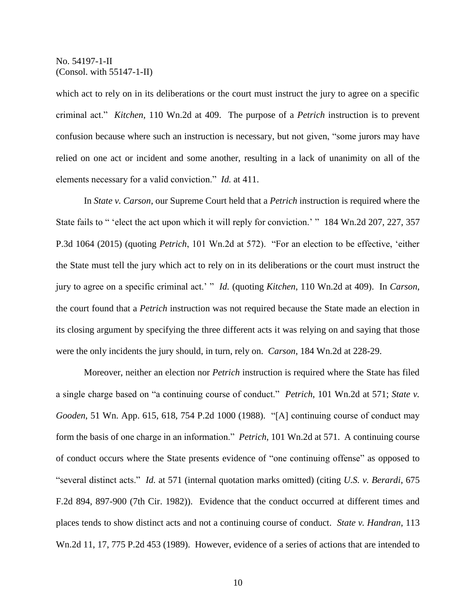which act to rely on in its deliberations or the court must instruct the jury to agree on a specific criminal act." *Kitchen*, 110 Wn.2d at 409. The purpose of a *Petrich* instruction is to prevent confusion because where such an instruction is necessary, but not given, "some jurors may have relied on one act or incident and some another, resulting in a lack of unanimity on all of the elements necessary for a valid conviction." *Id.* at 411.

In *State v. Carson*, our Supreme Court held that a *Petrich* instruction is required where the State fails to " 'elect the act upon which it will reply for conviction.' " 184 Wn.2d 207, 227, 357 P.3d 1064 (2015) (quoting *Petrich*, 101 Wn.2d at 572). "For an election to be effective, 'either the State must tell the jury which act to rely on in its deliberations or the court must instruct the jury to agree on a specific criminal act.' " *Id.* (quoting *Kitchen*, 110 Wn.2d at 409). In *Carson*, the court found that a *Petrich* instruction was not required because the State made an election in its closing argument by specifying the three different acts it was relying on and saying that those were the only incidents the jury should, in turn, rely on. *Carson*, 184 Wn.2d at 228-29.

Moreover, neither an election nor *Petrich* instruction is required where the State has filed a single charge based on "a continuing course of conduct." *Petrich*, 101 Wn.2d at 571; *State v. Gooden*, 51 Wn. App. 615, 618, 754 P.2d 1000 (1988). "[A] continuing course of conduct may form the basis of one charge in an information." *Petrich*, 101 Wn.2d at 571. A continuing course of conduct occurs where the State presents evidence of "one continuing offense" as opposed to "several distinct acts." *Id.* at 571 (internal quotation marks omitted) (citing *U.S. v. Berardi*, 675 F.2d 894, 897-900 (7th Cir. 1982)). Evidence that the conduct occurred at different times and places tends to show distinct acts and not a continuing course of conduct. *State v. Handran*, 113 Wn.2d 11, 17, 775 P.2d 453 (1989). However, evidence of a series of actions that are intended to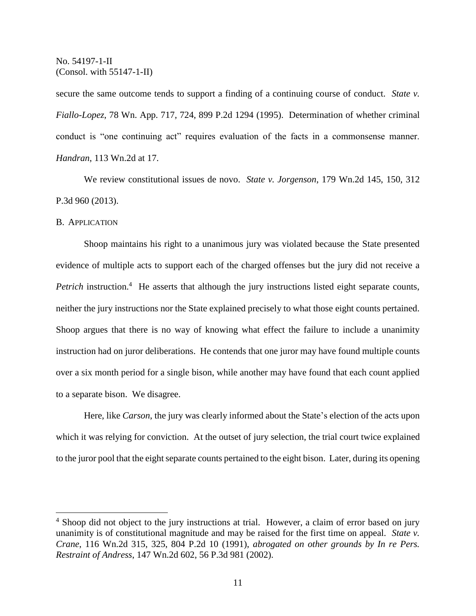secure the same outcome tends to support a finding of a continuing course of conduct. *State v*. *Fiallo-Lopez*, 78 Wn. App. 717, 724, 899 P.2d 1294 (1995). Determination of whether criminal conduct is "one continuing act" requires evaluation of the facts in a commonsense manner. *Handran*, 113 Wn.2d at 17.

We review constitutional issues de novo. *State v. Jorgenson*, 179 Wn.2d 145, 150, 312 P.3d 960 (2013).

#### B. APPLICATION

 $\overline{a}$ 

Shoop maintains his right to a unanimous jury was violated because the State presented evidence of multiple acts to support each of the charged offenses but the jury did not receive a Petrich instruction.<sup>4</sup> He asserts that although the jury instructions listed eight separate counts, neither the jury instructions nor the State explained precisely to what those eight counts pertained. Shoop argues that there is no way of knowing what effect the failure to include a unanimity instruction had on juror deliberations. He contends that one juror may have found multiple counts over a six month period for a single bison, while another may have found that each count applied to a separate bison. We disagree.

Here, like *Carson*, the jury was clearly informed about the State's election of the acts upon which it was relying for conviction. At the outset of jury selection, the trial court twice explained to the juror pool that the eight separate counts pertained to the eight bison. Later, during its opening

<sup>&</sup>lt;sup>4</sup> Shoop did not object to the jury instructions at trial. However, a claim of error based on jury unanimity is of constitutional magnitude and may be raised for the first time on appeal. *State v. Crane*, 116 Wn.2d 315, 325, 804 P.2d 10 (1991), *abrogated on other grounds by In re Pers. Restraint of Andress*, 147 Wn.2d 602, 56 P.3d 981 (2002).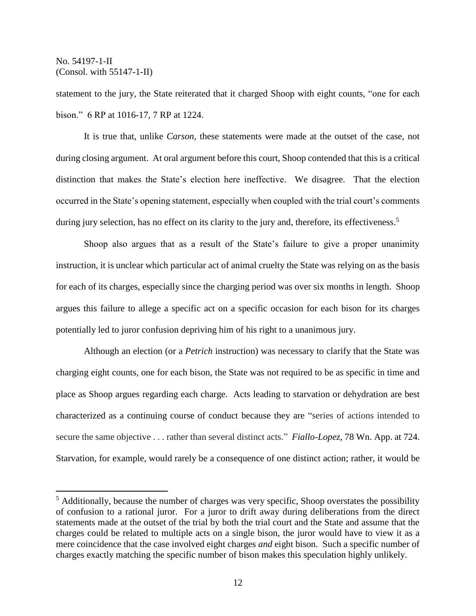$\overline{a}$ 

statement to the jury, the State reiterated that it charged Shoop with eight counts, "one for each bison." 6 RP at 1016-17, 7 RP at 1224.

It is true that, unlike *Carson*, these statements were made at the outset of the case, not during closing argument. At oral argument before this court, Shoop contended that this is a critical distinction that makes the State's election here ineffective. We disagree. That the election occurred in the State's opening statement, especially when coupled with the trial court's comments during jury selection, has no effect on its clarity to the jury and, therefore, its effectiveness.<sup>5</sup>

Shoop also argues that as a result of the State's failure to give a proper unanimity instruction, it is unclear which particular act of animal cruelty the State was relying on as the basis for each of its charges, especially since the charging period was over six months in length. Shoop argues this failure to allege a specific act on a specific occasion for each bison for its charges potentially led to juror confusion depriving him of his right to a unanimous jury.

Although an election (or a *Petrich* instruction) was necessary to clarify that the State was charging eight counts, one for each bison, the State was not required to be as specific in time and place as Shoop argues regarding each charge. Acts leading to starvation or dehydration are best characterized as a continuing course of conduct because they are "series of actions intended to secure the same objective . . . rather than several distinct acts." *Fiallo-Lopez*, 78 Wn. App. at 724. Starvation, for example, would rarely be a consequence of one distinct action; rather, it would be

 $<sup>5</sup>$  Additionally, because the number of charges was very specific, Shoop overstates the possibility</sup> of confusion to a rational juror. For a juror to drift away during deliberations from the direct statements made at the outset of the trial by both the trial court and the State and assume that the charges could be related to multiple acts on a single bison, the juror would have to view it as a mere coincidence that the case involved eight charges *and* eight bison. Such a specific number of charges exactly matching the specific number of bison makes this speculation highly unlikely.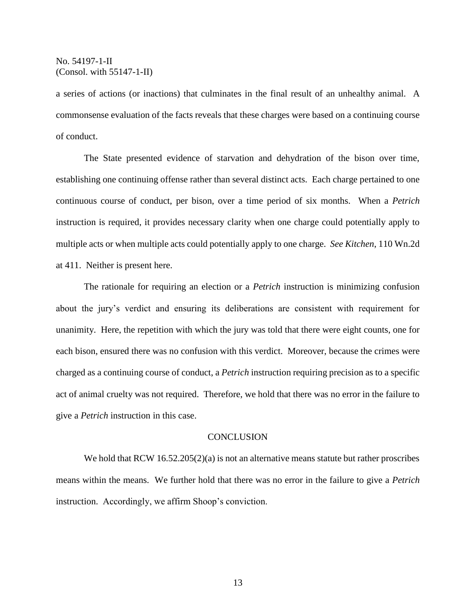a series of actions (or inactions) that culminates in the final result of an unhealthy animal. A commonsense evaluation of the facts reveals that these charges were based on a continuing course of conduct.

The State presented evidence of starvation and dehydration of the bison over time, establishing one continuing offense rather than several distinct acts. Each charge pertained to one continuous course of conduct, per bison, over a time period of six months. When a *Petrich* instruction is required, it provides necessary clarity when one charge could potentially apply to multiple acts or when multiple acts could potentially apply to one charge. *See Kitchen*, 110 Wn.2d at 411. Neither is present here.

The rationale for requiring an election or a *Petrich* instruction is minimizing confusion about the jury's verdict and ensuring its deliberations are consistent with requirement for unanimity. Here, the repetition with which the jury was told that there were eight counts, one for each bison, ensured there was no confusion with this verdict. Moreover, because the crimes were charged as a continuing course of conduct, a *Petrich* instruction requiring precision as to a specific act of animal cruelty was not required. Therefore, we hold that there was no error in the failure to give a *Petrich* instruction in this case.

#### **CONCLUSION**

We hold that RCW 16.52.205(2)(a) is not an alternative means statute but rather proscribes means within the means. We further hold that there was no error in the failure to give a *Petrich* instruction. Accordingly, we affirm Shoop's conviction.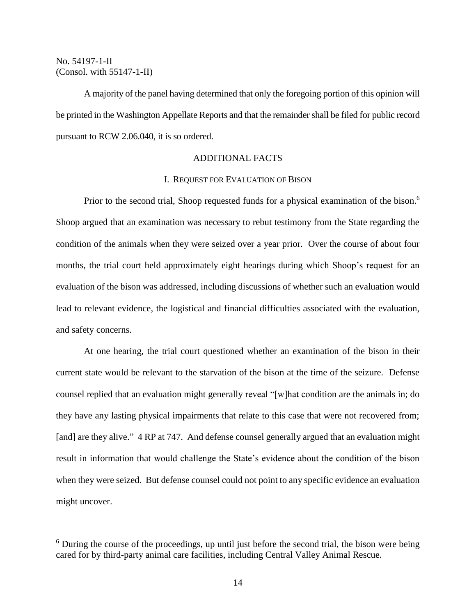$\overline{a}$ 

A majority of the panel having determined that only the foregoing portion of this opinion will be printed in the Washington Appellate Reports and that the remainder shall be filed for public record pursuant to RCW 2.06.040, it is so ordered.

## ADDITIONAL FACTS

## I. REQUEST FOR EVALUATION OF BISON

Prior to the second trial, Shoop requested funds for a physical examination of the bison.<sup>6</sup> Shoop argued that an examination was necessary to rebut testimony from the State regarding the condition of the animals when they were seized over a year prior. Over the course of about four months, the trial court held approximately eight hearings during which Shoop's request for an evaluation of the bison was addressed, including discussions of whether such an evaluation would lead to relevant evidence, the logistical and financial difficulties associated with the evaluation, and safety concerns.

At one hearing, the trial court questioned whether an examination of the bison in their current state would be relevant to the starvation of the bison at the time of the seizure. Defense counsel replied that an evaluation might generally reveal "[w]hat condition are the animals in; do they have any lasting physical impairments that relate to this case that were not recovered from; [and] are they alive." 4 RP at 747. And defense counsel generally argued that an evaluation might result in information that would challenge the State's evidence about the condition of the bison when they were seized. But defense counsel could not point to any specific evidence an evaluation might uncover.

 $6$  During the course of the proceedings, up until just before the second trial, the bison were being cared for by third-party animal care facilities, including Central Valley Animal Rescue.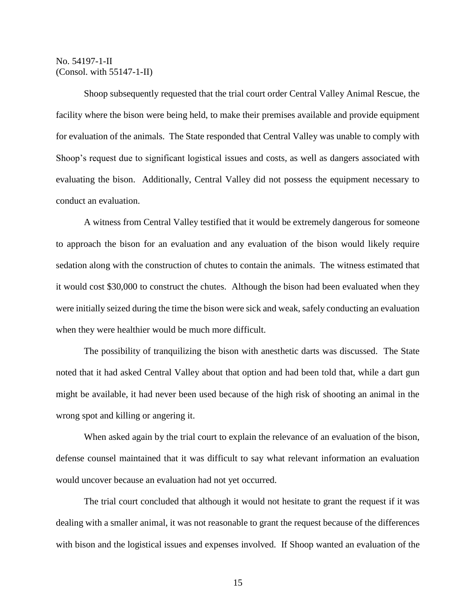Shoop subsequently requested that the trial court order Central Valley Animal Rescue, the facility where the bison were being held, to make their premises available and provide equipment for evaluation of the animals. The State responded that Central Valley was unable to comply with Shoop's request due to significant logistical issues and costs, as well as dangers associated with evaluating the bison. Additionally, Central Valley did not possess the equipment necessary to conduct an evaluation.

A witness from Central Valley testified that it would be extremely dangerous for someone to approach the bison for an evaluation and any evaluation of the bison would likely require sedation along with the construction of chutes to contain the animals. The witness estimated that it would cost \$30,000 to construct the chutes. Although the bison had been evaluated when they were initially seized during the time the bison were sick and weak, safely conducting an evaluation when they were healthier would be much more difficult.

The possibility of tranquilizing the bison with anesthetic darts was discussed. The State noted that it had asked Central Valley about that option and had been told that, while a dart gun might be available, it had never been used because of the high risk of shooting an animal in the wrong spot and killing or angering it.

When asked again by the trial court to explain the relevance of an evaluation of the bison, defense counsel maintained that it was difficult to say what relevant information an evaluation would uncover because an evaluation had not yet occurred.

The trial court concluded that although it would not hesitate to grant the request if it was dealing with a smaller animal, it was not reasonable to grant the request because of the differences with bison and the logistical issues and expenses involved. If Shoop wanted an evaluation of the

15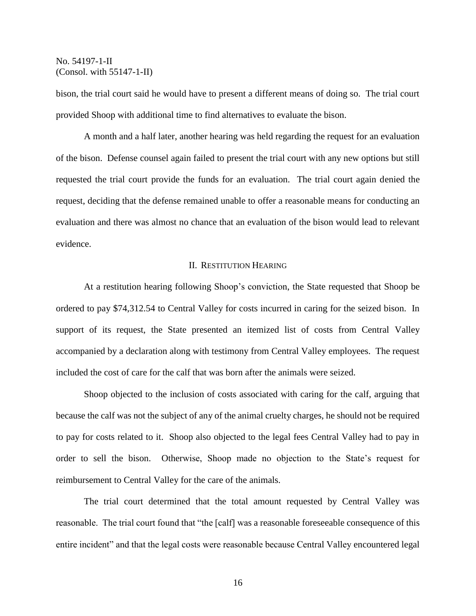bison, the trial court said he would have to present a different means of doing so. The trial court provided Shoop with additional time to find alternatives to evaluate the bison.

A month and a half later, another hearing was held regarding the request for an evaluation of the bison. Defense counsel again failed to present the trial court with any new options but still requested the trial court provide the funds for an evaluation. The trial court again denied the request, deciding that the defense remained unable to offer a reasonable means for conducting an evaluation and there was almost no chance that an evaluation of the bison would lead to relevant evidence.

## II. RESTITUTION HEARING

At a restitution hearing following Shoop's conviction, the State requested that Shoop be ordered to pay \$74,312.54 to Central Valley for costs incurred in caring for the seized bison. In support of its request, the State presented an itemized list of costs from Central Valley accompanied by a declaration along with testimony from Central Valley employees. The request included the cost of care for the calf that was born after the animals were seized.

Shoop objected to the inclusion of costs associated with caring for the calf, arguing that because the calf was not the subject of any of the animal cruelty charges, he should not be required to pay for costs related to it. Shoop also objected to the legal fees Central Valley had to pay in order to sell the bison. Otherwise, Shoop made no objection to the State's request for reimbursement to Central Valley for the care of the animals.

The trial court determined that the total amount requested by Central Valley was reasonable. The trial court found that "the [calf] was a reasonable foreseeable consequence of this entire incident" and that the legal costs were reasonable because Central Valley encountered legal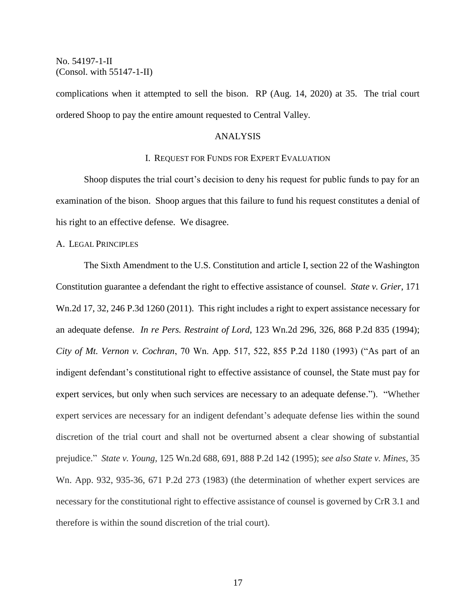complications when it attempted to sell the bison. RP (Aug. 14, 2020) at 35. The trial court ordered Shoop to pay the entire amount requested to Central Valley.

## ANALYSIS

### I. REQUEST FOR FUNDS FOR EXPERT EVALUATION

Shoop disputes the trial court's decision to deny his request for public funds to pay for an examination of the bison. Shoop argues that this failure to fund his request constitutes a denial of his right to an effective defense. We disagree.

#### A. LEGAL PRINCIPLES

The Sixth Amendment to the U.S. Constitution and article I, section 22 of the Washington Constitution guarantee a defendant the right to effective assistance of counsel. *State v. Grier*, 171 Wn.2d 17, 32, 246 P.3d 1260 (2011). This right includes a right to expert assistance necessary for an adequate defense. *In re Pers. Restraint of Lord*, 123 Wn.2d 296, 326, 868 P.2d 835 (1994); *City of Mt. Vernon v. Cochran*, 70 Wn. App. 517, 522, 855 P.2d 1180 (1993) ("As part of an indigent defendant's constitutional right to effective assistance of counsel, the State must pay for expert services, but only when such services are necessary to an adequate defense."). "Whether expert services are necessary for an indigent defendant's adequate defense lies within the sound discretion of the trial court and shall not be overturned absent a clear showing of substantial prejudice." *State v. Young,* 125 Wn.2d 688, 691, 888 P.2d 142 (1995); *see also State v. Mines*, 35 Wn. App. 932, 935-36, 671 P.2d 273 (1983) (the determination of whether expert services are necessary for the constitutional right to effective assistance of counsel is governed by CrR 3.1 and therefore is within the sound discretion of the trial court).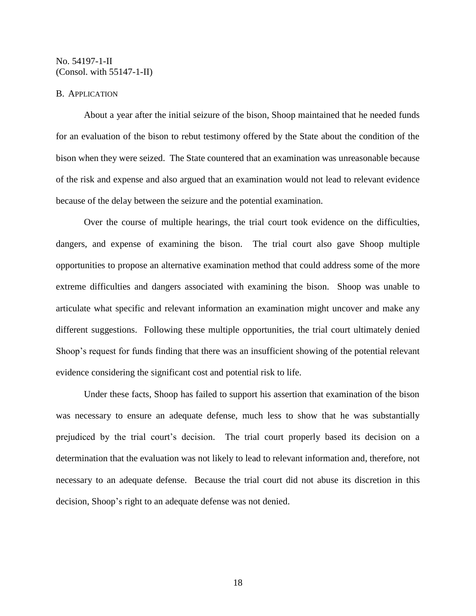## B. APPLICATION

About a year after the initial seizure of the bison, Shoop maintained that he needed funds for an evaluation of the bison to rebut testimony offered by the State about the condition of the bison when they were seized. The State countered that an examination was unreasonable because of the risk and expense and also argued that an examination would not lead to relevant evidence because of the delay between the seizure and the potential examination.

Over the course of multiple hearings, the trial court took evidence on the difficulties, dangers, and expense of examining the bison. The trial court also gave Shoop multiple opportunities to propose an alternative examination method that could address some of the more extreme difficulties and dangers associated with examining the bison. Shoop was unable to articulate what specific and relevant information an examination might uncover and make any different suggestions. Following these multiple opportunities, the trial court ultimately denied Shoop's request for funds finding that there was an insufficient showing of the potential relevant evidence considering the significant cost and potential risk to life.

Under these facts, Shoop has failed to support his assertion that examination of the bison was necessary to ensure an adequate defense, much less to show that he was substantially prejudiced by the trial court's decision. The trial court properly based its decision on a determination that the evaluation was not likely to lead to relevant information and, therefore, not necessary to an adequate defense. Because the trial court did not abuse its discretion in this decision, Shoop's right to an adequate defense was not denied.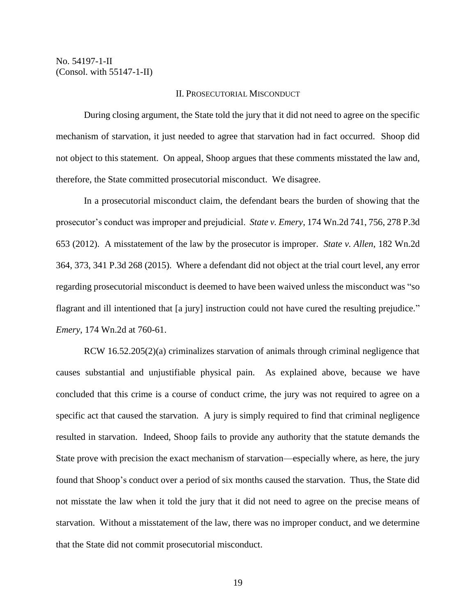## II. PROSECUTORIAL MISCONDUCT

During closing argument, the State told the jury that it did not need to agree on the specific mechanism of starvation, it just needed to agree that starvation had in fact occurred. Shoop did not object to this statement. On appeal, Shoop argues that these comments misstated the law and, therefore, the State committed prosecutorial misconduct. We disagree.

In a prosecutorial misconduct claim, the defendant bears the burden of showing that the prosecutor's conduct was improper and prejudicial. *State v. Emery*, 174 Wn.2d 741, 756, 278 P.3d 653 (2012). A misstatement of the law by the prosecutor is improper. *State v. Allen*, 182 Wn.2d 364, 373, 341 P.3d 268 (2015). Where a defendant did not object at the trial court level, any error regarding prosecutorial misconduct is deemed to have been waived unless the misconduct was "so flagrant and ill intentioned that [a jury] instruction could not have cured the resulting prejudice." *Emery*, 174 Wn.2d at 760-61.

RCW 16.52.205(2)(a) criminalizes starvation of animals through criminal negligence that causes substantial and unjustifiable physical pain. As explained above, because we have concluded that this crime is a course of conduct crime, the jury was not required to agree on a specific act that caused the starvation. A jury is simply required to find that criminal negligence resulted in starvation. Indeed, Shoop fails to provide any authority that the statute demands the State prove with precision the exact mechanism of starvation—especially where, as here, the jury found that Shoop's conduct over a period of six months caused the starvation. Thus, the State did not misstate the law when it told the jury that it did not need to agree on the precise means of starvation. Without a misstatement of the law, there was no improper conduct, and we determine that the State did not commit prosecutorial misconduct.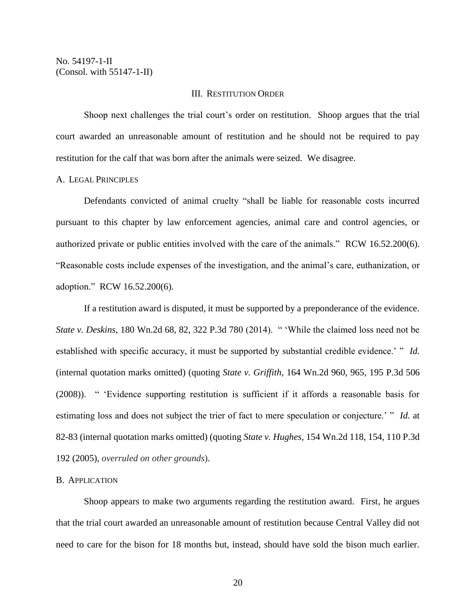# III. RESTITUTION ORDER

Shoop next challenges the trial court's order on restitution. Shoop argues that the trial court awarded an unreasonable amount of restitution and he should not be required to pay restitution for the calf that was born after the animals were seized. We disagree.

#### A. LEGAL PRINCIPLES

Defendants convicted of animal cruelty "shall be liable for reasonable costs incurred pursuant to this chapter by law enforcement agencies, animal care and control agencies, or authorized private or public entities involved with the care of the animals." RCW 16.52.200(6). "Reasonable costs include expenses of the investigation, and the animal's care, euthanization, or adoption." RCW 16.52.200(6).

If a restitution award is disputed, it must be supported by a preponderance of the evidence. *State v. Deskins*, 180 Wn.2d 68, 82, 322 P.3d 780 (2014). " 'While the claimed loss need not be established with specific accuracy, it must be supported by substantial credible evidence.' " *Id.* (internal quotation marks omitted) (quoting *State v. Griffith*, 164 Wn.2d 960, 965, 195 P.3d 506 (2008)). " 'Evidence supporting restitution is sufficient if it affords a reasonable basis for estimating loss and does not subject the trier of fact to mere speculation or conjecture.' " *Id.* at 82-83 (internal quotation marks omitted) (quoting *State v. Hughes*, 154 Wn.2d 118, 154, 110 P.3d 192 (2005), *overruled on other grounds*).

# B. APPLICATION

Shoop appears to make two arguments regarding the restitution award. First, he argues that the trial court awarded an unreasonable amount of restitution because Central Valley did not need to care for the bison for 18 months but, instead, should have sold the bison much earlier.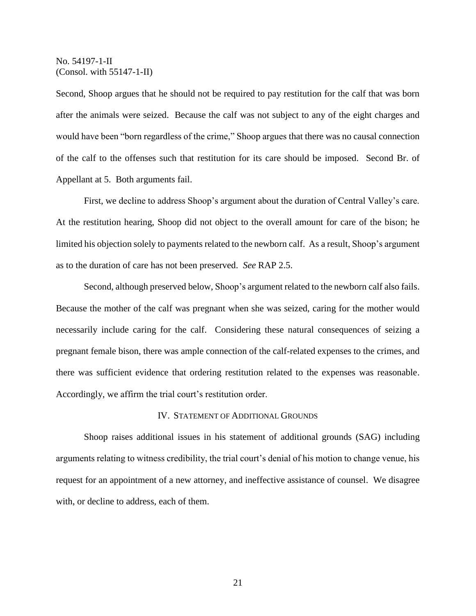Second, Shoop argues that he should not be required to pay restitution for the calf that was born after the animals were seized. Because the calf was not subject to any of the eight charges and would have been "born regardless of the crime," Shoop argues that there was no causal connection of the calf to the offenses such that restitution for its care should be imposed. Second Br. of Appellant at 5. Both arguments fail.

First, we decline to address Shoop's argument about the duration of Central Valley's care. At the restitution hearing, Shoop did not object to the overall amount for care of the bison; he limited his objection solely to payments related to the newborn calf. As a result, Shoop's argument as to the duration of care has not been preserved. *See* RAP 2.5.

Second, although preserved below, Shoop's argument related to the newborn calf also fails. Because the mother of the calf was pregnant when she was seized, caring for the mother would necessarily include caring for the calf. Considering these natural consequences of seizing a pregnant female bison, there was ample connection of the calf-related expenses to the crimes, and there was sufficient evidence that ordering restitution related to the expenses was reasonable. Accordingly, we affirm the trial court's restitution order.

## IV. STATEMENT OF ADDITIONAL GROUNDS

Shoop raises additional issues in his statement of additional grounds (SAG) including arguments relating to witness credibility, the trial court's denial of his motion to change venue, his request for an appointment of a new attorney, and ineffective assistance of counsel. We disagree with, or decline to address, each of them.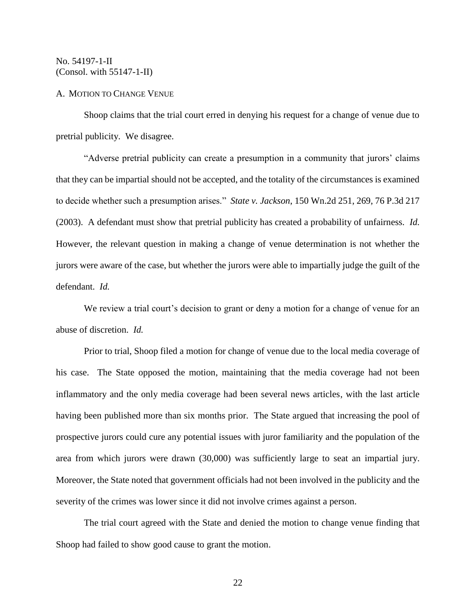## A. MOTION TO CHANGE VENUE

Shoop claims that the trial court erred in denying his request for a change of venue due to pretrial publicity. We disagree.

"Adverse pretrial publicity can create a presumption in a community that jurors' claims that they can be impartial should not be accepted, and the totality of the circumstances is examined to decide whether such a presumption arises." *State v. Jackson*, 150 Wn.2d 251, 269, 76 P.3d 217 (2003). A defendant must show that pretrial publicity has created a probability of unfairness. *Id.* However, the relevant question in making a change of venue determination is not whether the jurors were aware of the case, but whether the jurors were able to impartially judge the guilt of the defendant. *Id.*

We review a trial court's decision to grant or deny a motion for a change of venue for an abuse of discretion. *Id.*

Prior to trial, Shoop filed a motion for change of venue due to the local media coverage of his case. The State opposed the motion, maintaining that the media coverage had not been inflammatory and the only media coverage had been several news articles, with the last article having been published more than six months prior. The State argued that increasing the pool of prospective jurors could cure any potential issues with juror familiarity and the population of the area from which jurors were drawn (30,000) was sufficiently large to seat an impartial jury. Moreover, the State noted that government officials had not been involved in the publicity and the severity of the crimes was lower since it did not involve crimes against a person.

The trial court agreed with the State and denied the motion to change venue finding that Shoop had failed to show good cause to grant the motion.

22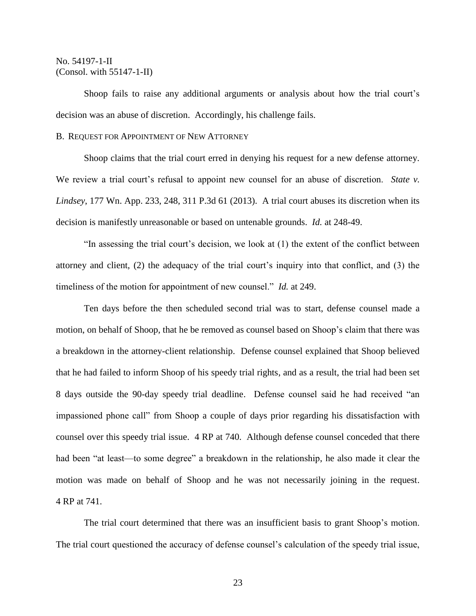Shoop fails to raise any additional arguments or analysis about how the trial court's decision was an abuse of discretion. Accordingly, his challenge fails.

## B. REQUEST FOR APPOINTMENT OF NEW ATTORNEY

Shoop claims that the trial court erred in denying his request for a new defense attorney. We review a trial court's refusal to appoint new counsel for an abuse of discretion. *State v. Lindsey*, 177 Wn. App. 233, 248, 311 P.3d 61 (2013). A trial court abuses its discretion when its decision is manifestly unreasonable or based on untenable grounds. *Id.* at 248-49.

"In assessing the trial court's decision, we look at (1) the extent of the conflict between attorney and client, (2) the adequacy of the trial court's inquiry into that conflict, and (3) the timeliness of the motion for appointment of new counsel." *Id.* at 249.

Ten days before the then scheduled second trial was to start, defense counsel made a motion, on behalf of Shoop, that he be removed as counsel based on Shoop's claim that there was a breakdown in the attorney-client relationship. Defense counsel explained that Shoop believed that he had failed to inform Shoop of his speedy trial rights, and as a result, the trial had been set 8 days outside the 90-day speedy trial deadline. Defense counsel said he had received "an impassioned phone call" from Shoop a couple of days prior regarding his dissatisfaction with counsel over this speedy trial issue. 4 RP at 740. Although defense counsel conceded that there had been "at least—to some degree" a breakdown in the relationship, he also made it clear the motion was made on behalf of Shoop and he was not necessarily joining in the request. 4 RP at 741.

The trial court determined that there was an insufficient basis to grant Shoop's motion. The trial court questioned the accuracy of defense counsel's calculation of the speedy trial issue,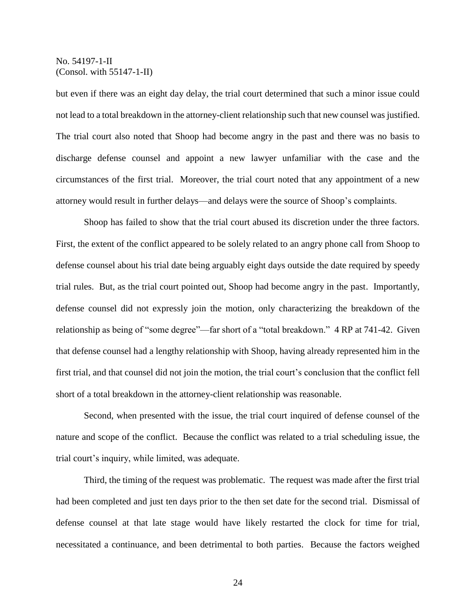but even if there was an eight day delay, the trial court determined that such a minor issue could not lead to a total breakdown in the attorney-client relationship such that new counsel was justified. The trial court also noted that Shoop had become angry in the past and there was no basis to discharge defense counsel and appoint a new lawyer unfamiliar with the case and the circumstances of the first trial. Moreover, the trial court noted that any appointment of a new attorney would result in further delays—and delays were the source of Shoop's complaints.

Shoop has failed to show that the trial court abused its discretion under the three factors. First, the extent of the conflict appeared to be solely related to an angry phone call from Shoop to defense counsel about his trial date being arguably eight days outside the date required by speedy trial rules. But, as the trial court pointed out, Shoop had become angry in the past. Importantly, defense counsel did not expressly join the motion, only characterizing the breakdown of the relationship as being of "some degree"—far short of a "total breakdown." 4 RP at 741-42. Given that defense counsel had a lengthy relationship with Shoop, having already represented him in the first trial, and that counsel did not join the motion, the trial court's conclusion that the conflict fell short of a total breakdown in the attorney-client relationship was reasonable.

Second, when presented with the issue, the trial court inquired of defense counsel of the nature and scope of the conflict. Because the conflict was related to a trial scheduling issue, the trial court's inquiry, while limited, was adequate.

Third, the timing of the request was problematic. The request was made after the first trial had been completed and just ten days prior to the then set date for the second trial. Dismissal of defense counsel at that late stage would have likely restarted the clock for time for trial, necessitated a continuance, and been detrimental to both parties. Because the factors weighed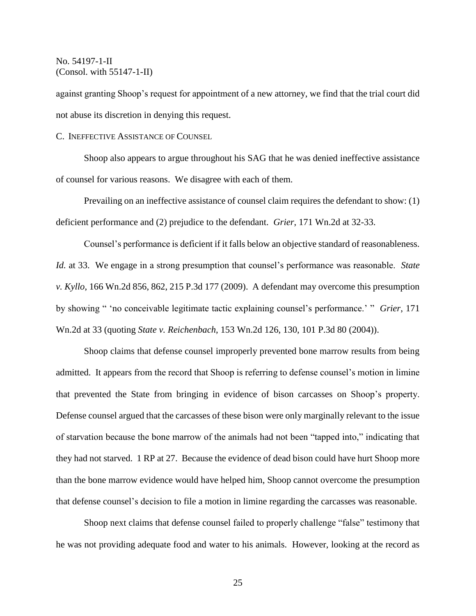against granting Shoop's request for appointment of a new attorney, we find that the trial court did not abuse its discretion in denying this request.

C. INEFFECTIVE ASSISTANCE OF COUNSEL

Shoop also appears to argue throughout his SAG that he was denied ineffective assistance of counsel for various reasons. We disagree with each of them.

Prevailing on an ineffective assistance of counsel claim requires the defendant to show: (1) deficient performance and (2) prejudice to the defendant. *Grier*, 171 Wn.2d at 32-33.

Counsel's performance is deficient if it falls below an objective standard of reasonableness. *Id.* at 33. We engage in a strong presumption that counsel's performance was reasonable. *State v. Kyllo*, 166 Wn.2d 856, 862, 215 P.3d 177 (2009). A defendant may overcome this presumption by showing " 'no conceivable legitimate tactic explaining counsel's performance.' " *Grier*, 171 Wn.2d at 33 (quoting *State v. Reichenbach*, 153 Wn.2d 126, 130, 101 P.3d 80 (2004)).

Shoop claims that defense counsel improperly prevented bone marrow results from being admitted. It appears from the record that Shoop is referring to defense counsel's motion in limine that prevented the State from bringing in evidence of bison carcasses on Shoop's property. Defense counsel argued that the carcasses of these bison were only marginally relevant to the issue of starvation because the bone marrow of the animals had not been "tapped into," indicating that they had not starved. 1 RP at 27. Because the evidence of dead bison could have hurt Shoop more than the bone marrow evidence would have helped him, Shoop cannot overcome the presumption that defense counsel's decision to file a motion in limine regarding the carcasses was reasonable.

Shoop next claims that defense counsel failed to properly challenge "false" testimony that he was not providing adequate food and water to his animals. However, looking at the record as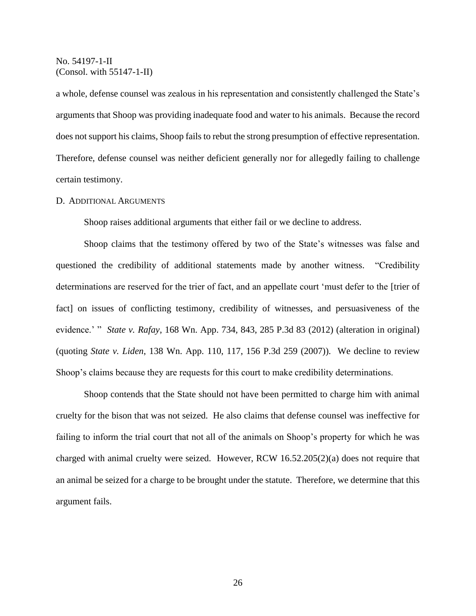a whole, defense counsel was zealous in his representation and consistently challenged the State's arguments that Shoop was providing inadequate food and water to his animals. Because the record does not support his claims, Shoop fails to rebut the strong presumption of effective representation. Therefore, defense counsel was neither deficient generally nor for allegedly failing to challenge certain testimony.

## D. ADDITIONAL ARGUMENTS

Shoop raises additional arguments that either fail or we decline to address.

Shoop claims that the testimony offered by two of the State's witnesses was false and questioned the credibility of additional statements made by another witness. "Credibility determinations are reserved for the trier of fact, and an appellate court 'must defer to the [trier of fact] on issues of conflicting testimony, credibility of witnesses, and persuasiveness of the evidence.' " *State v. Rafay*, 168 Wn. App. 734, 843, 285 P.3d 83 (2012) (alteration in original) (quoting *State v. Liden*, 138 Wn. App. 110, 117, 156 P.3d 259 (2007)). We decline to review Shoop's claims because they are requests for this court to make credibility determinations.

Shoop contends that the State should not have been permitted to charge him with animal cruelty for the bison that was not seized. He also claims that defense counsel was ineffective for failing to inform the trial court that not all of the animals on Shoop's property for which he was charged with animal cruelty were seized. However, RCW 16.52.205(2)(a) does not require that an animal be seized for a charge to be brought under the statute. Therefore, we determine that this argument fails.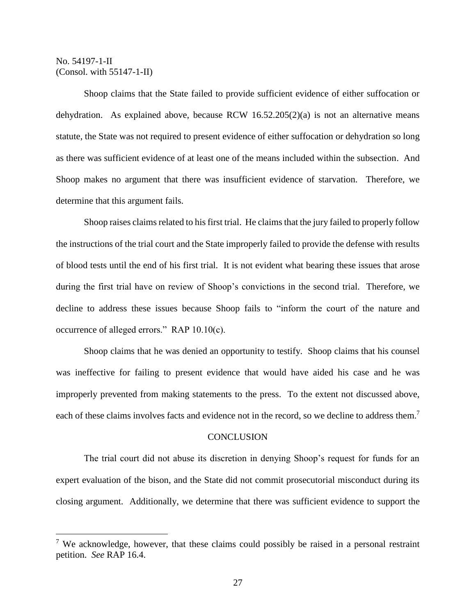$\overline{a}$ 

Shoop claims that the State failed to provide sufficient evidence of either suffocation or dehydration. As explained above, because RCW 16.52.205(2)(a) is not an alternative means statute, the State was not required to present evidence of either suffocation or dehydration so long as there was sufficient evidence of at least one of the means included within the subsection. And Shoop makes no argument that there was insufficient evidence of starvation. Therefore, we determine that this argument fails.

Shoop raises claims related to his first trial. He claims that the jury failed to properly follow the instructions of the trial court and the State improperly failed to provide the defense with results of blood tests until the end of his first trial. It is not evident what bearing these issues that arose during the first trial have on review of Shoop's convictions in the second trial. Therefore, we decline to address these issues because Shoop fails to "inform the court of the nature and occurrence of alleged errors." RAP 10.10(c).

Shoop claims that he was denied an opportunity to testify. Shoop claims that his counsel was ineffective for failing to present evidence that would have aided his case and he was improperly prevented from making statements to the press. To the extent not discussed above, each of these claims involves facts and evidence not in the record, so we decline to address them.<sup>7</sup>

## **CONCLUSION**

The trial court did not abuse its discretion in denying Shoop's request for funds for an expert evaluation of the bison, and the State did not commit prosecutorial misconduct during its closing argument. Additionally, we determine that there was sufficient evidence to support the

<sup>&</sup>lt;sup>7</sup> We acknowledge, however, that these claims could possibly be raised in a personal restraint petition. *See* RAP 16.4.